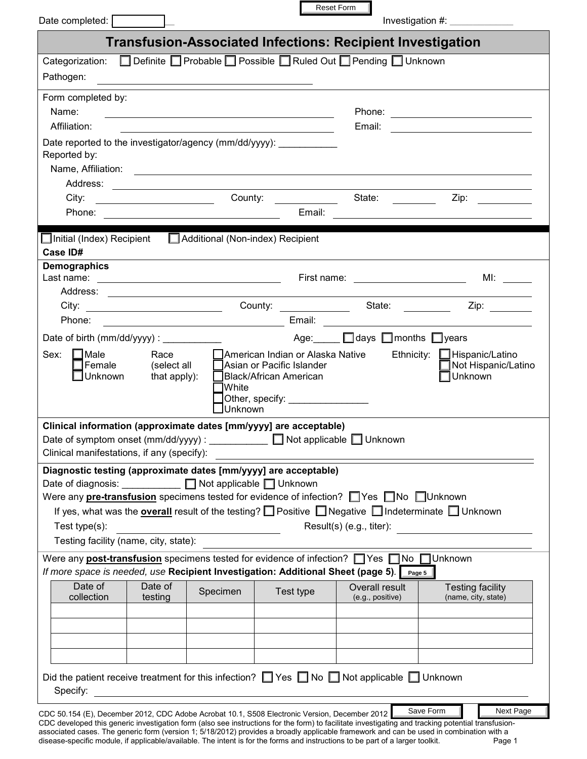| Date completed:                                                                                                                                                                                                                               |                                     |                         |                                                                                                                                | Reset Form                             | Investigation #: $\frac{1}{2}$                                                                                                                                                                                                                                                                |  |
|-----------------------------------------------------------------------------------------------------------------------------------------------------------------------------------------------------------------------------------------------|-------------------------------------|-------------------------|--------------------------------------------------------------------------------------------------------------------------------|----------------------------------------|-----------------------------------------------------------------------------------------------------------------------------------------------------------------------------------------------------------------------------------------------------------------------------------------------|--|
|                                                                                                                                                                                                                                               |                                     |                         | <b>Transfusion-Associated Infections: Recipient Investigation</b>                                                              |                                        |                                                                                                                                                                                                                                                                                               |  |
| Categorization: □ Definite □ Probable □ Possible □ Ruled Out □ Pending □ Unknown                                                                                                                                                              |                                     |                         |                                                                                                                                |                                        |                                                                                                                                                                                                                                                                                               |  |
| Pathogen:                                                                                                                                                                                                                                     |                                     |                         |                                                                                                                                |                                        |                                                                                                                                                                                                                                                                                               |  |
| Form completed by:                                                                                                                                                                                                                            |                                     |                         |                                                                                                                                |                                        |                                                                                                                                                                                                                                                                                               |  |
| Name:                                                                                                                                                                                                                                         |                                     |                         | <u> 1989 - Johann Stoff, deutscher Stoffen und der Stoffen und der Stoffen und der Stoffen und der Stoffen und der</u>         |                                        |                                                                                                                                                                                                                                                                                               |  |
| Affiliation:                                                                                                                                                                                                                                  |                                     |                         |                                                                                                                                |                                        |                                                                                                                                                                                                                                                                                               |  |
| Date reported to the investigator/agency (mm/dd/yyyy): _____________<br>Reported by:                                                                                                                                                          |                                     |                         |                                                                                                                                |                                        |                                                                                                                                                                                                                                                                                               |  |
|                                                                                                                                                                                                                                               |                                     |                         |                                                                                                                                |                                        |                                                                                                                                                                                                                                                                                               |  |
|                                                                                                                                                                                                                                               |                                     |                         |                                                                                                                                |                                        |                                                                                                                                                                                                                                                                                               |  |
|                                                                                                                                                                                                                                               |                                     |                         |                                                                                                                                | State:                                 | Zip:                                                                                                                                                                                                                                                                                          |  |
|                                                                                                                                                                                                                                               |                                     |                         |                                                                                                                                |                                        |                                                                                                                                                                                                                                                                                               |  |
| Initial (Index) Recipient   Additional (Non-index) Recipient                                                                                                                                                                                  |                                     |                         |                                                                                                                                |                                        |                                                                                                                                                                                                                                                                                               |  |
| Case ID#                                                                                                                                                                                                                                      |                                     |                         |                                                                                                                                |                                        |                                                                                                                                                                                                                                                                                               |  |
| Demographics                                                                                                                                                                                                                                  |                                     |                         |                                                                                                                                |                                        |                                                                                                                                                                                                                                                                                               |  |
|                                                                                                                                                                                                                                               |                                     |                         |                                                                                                                                |                                        |                                                                                                                                                                                                                                                                                               |  |
|                                                                                                                                                                                                                                               |                                     |                         |                                                                                                                                |                                        |                                                                                                                                                                                                                                                                                               |  |
| Phone:                                                                                                                                                                                                                                        |                                     |                         |                                                                                                                                |                                        |                                                                                                                                                                                                                                                                                               |  |
|                                                                                                                                                                                                                                               |                                     |                         |                                                                                                                                |                                        |                                                                                                                                                                                                                                                                                               |  |
| Date of birth (mm/dd/yyyy) : _____________                                                                                                                                                                                                    |                                     |                         | Age:______                                                                                                                     | $\Box$ days $\Box$ months $\Box$ years |                                                                                                                                                                                                                                                                                               |  |
| Sex: $\Box$ Male<br>IFemale<br>∐Unknown                                                                                                                                                                                                       | Race<br>(select all<br>that apply): | <b>White</b><br>Unknown | □ American Indian or Alaska Native<br>Asian or Pacific Islander<br>Black/African American<br>Other, specify: _________________ |                                        | Ethnicity: Films Hispanic/Latino<br>Not Hispanic/Latino<br>Unknown                                                                                                                                                                                                                            |  |
| Clinical information (approximate dates [mm/yyyy] are acceptable)                                                                                                                                                                             |                                     |                         |                                                                                                                                |                                        |                                                                                                                                                                                                                                                                                               |  |
| Date of symptom onset (mm/dd/yyyy) : $\Box$ Not applicable $\Box$ Unknown<br>Clinical manifestations, if any (specify):                                                                                                                       |                                     |                         |                                                                                                                                |                                        |                                                                                                                                                                                                                                                                                               |  |
| Diagnostic testing (approximate dates [mm/yyyy] are acceptable)                                                                                                                                                                               |                                     |                         |                                                                                                                                |                                        |                                                                                                                                                                                                                                                                                               |  |
| Date of diagnosis: Not applicable Unknown<br>Were any <b>pre-transfusion</b> specimens tested for evidence of infection? $\Box$ Yes $\Box$ No $\Box$ Unknown                                                                                  |                                     |                         |                                                                                                                                |                                        |                                                                                                                                                                                                                                                                                               |  |
|                                                                                                                                                                                                                                               |                                     |                         |                                                                                                                                |                                        | If yes, what was the <b>overall</b> result of the testing? $\Box$ Positive $\Box$ Negative $\Box$ Indeterminate $\Box$ Unknown                                                                                                                                                                |  |
| Test type(s):                                                                                                                                                                                                                                 |                                     |                         |                                                                                                                                | $Result(s)$ (e.g., titer):             |                                                                                                                                                                                                                                                                                               |  |
|                                                                                                                                                                                                                                               |                                     |                         |                                                                                                                                |                                        |                                                                                                                                                                                                                                                                                               |  |
| Testing facility (name, city, state):<br>Were any <b>post-transfusion</b> specimens tested for evidence of infection? $\Box$ Yes $\Box$ No $\Box$ Unknown<br>If more space is needed, use Recipient Investigation: Additional Sheet (page 5). |                                     |                         |                                                                                                                                |                                        |                                                                                                                                                                                                                                                                                               |  |
| Date of                                                                                                                                                                                                                                       | Date of                             |                         |                                                                                                                                |                                        | Page 5                                                                                                                                                                                                                                                                                        |  |
| collection                                                                                                                                                                                                                                    | testing                             | Specimen                | Test type                                                                                                                      | Overall result<br>(e.g., positive)     | <b>Testing facility</b><br>(name, city, state)                                                                                                                                                                                                                                                |  |
|                                                                                                                                                                                                                                               |                                     |                         |                                                                                                                                |                                        |                                                                                                                                                                                                                                                                                               |  |
|                                                                                                                                                                                                                                               |                                     |                         |                                                                                                                                |                                        |                                                                                                                                                                                                                                                                                               |  |
|                                                                                                                                                                                                                                               |                                     |                         |                                                                                                                                |                                        |                                                                                                                                                                                                                                                                                               |  |
|                                                                                                                                                                                                                                               |                                     |                         |                                                                                                                                |                                        |                                                                                                                                                                                                                                                                                               |  |
| Did the patient receive treatment for this infection? $\Box$ Yes $\Box$ No $\Box$ Not applicable $\Box$ Unknown<br>Specify:                                                                                                                   |                                     |                         |                                                                                                                                |                                        |                                                                                                                                                                                                                                                                                               |  |
|                                                                                                                                                                                                                                               |                                     |                         |                                                                                                                                |                                        | Save Form<br>Next Page                                                                                                                                                                                                                                                                        |  |
| CDC 50.154 (E), December 2012, CDC Adobe Acrobat 10.1, S508 Electronic Version, December 2012                                                                                                                                                 |                                     |                         |                                                                                                                                |                                        | CDC developed this generic investigation form (also see instructions for the form) to facilitate investigating and tracking potential transfusion-<br>associated cases. The generic form (version 1: 5/18/2012) provides a broadly applicable framework and can be used in combination with a |  |

г

associated cases. The generic form (version 1; 5/18/2012) provides a broadly applicable framework and can be used in combination with a disease-specific module, if applicable/available. The intent is for the forms and instructions to be part of a larger toolkit. Page 1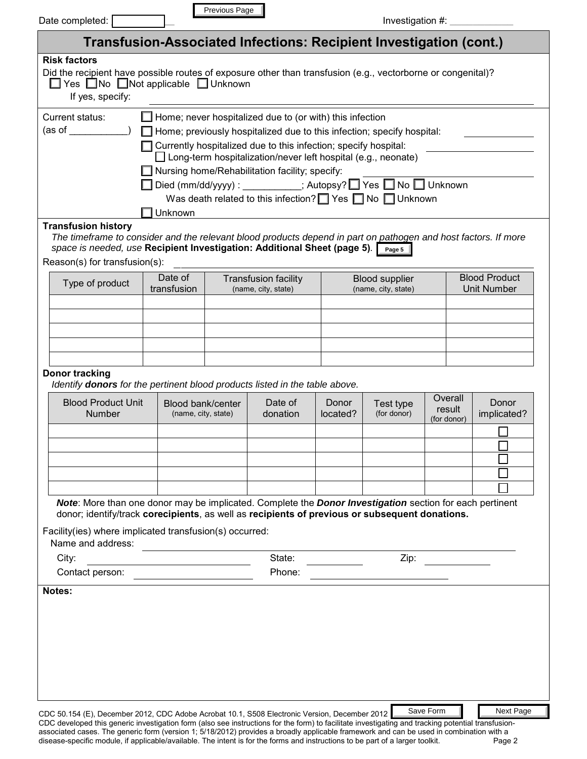| Date completed:                                                                                                                                                                                                                                                                            |                                                                                                                                                                                                                                                                                | Previous Page                                      |                     |                   | Investigation $#:$ __                                                                                                                                                                                                  |                                            |
|--------------------------------------------------------------------------------------------------------------------------------------------------------------------------------------------------------------------------------------------------------------------------------------------|--------------------------------------------------------------------------------------------------------------------------------------------------------------------------------------------------------------------------------------------------------------------------------|----------------------------------------------------|---------------------|-------------------|------------------------------------------------------------------------------------------------------------------------------------------------------------------------------------------------------------------------|--------------------------------------------|
|                                                                                                                                                                                                                                                                                            |                                                                                                                                                                                                                                                                                |                                                    |                     |                   | Transfusion-Associated Infections: Recipient Investigation (cont.)                                                                                                                                                     |                                            |
| <b>Risk factors</b><br>Did the recipient have possible routes of exposure other than transfusion (e.g., vectorborne or congenital)?<br>$\Box$ Yes $\Box$ No $\Box$ Not applicable $\Box$ Unknown<br>If yes, specify:                                                                       |                                                                                                                                                                                                                                                                                |                                                    |                     |                   |                                                                                                                                                                                                                        |                                            |
| Current status:<br>(as of<br><b>Transfusion history</b>                                                                                                                                                                                                                                    | $\Box$ Home; never hospitalized due to (or with) this infection<br>Currently hospitalized due to this infection; specify hospital:<br>$\Box$ Long-term hospitalization/never left hospital (e.g., neonate)<br>$\Box$ Nursing home/Rehabilitation facility; specify:<br>Unknown |                                                    |                     |                   | Home; previously hospitalized due to this infection; specify hospital:<br>□ Died (mm/dd/yyyy) : ___________; Autopsy? □ Yes □ No □ Unknown<br>Was death related to this infection? $\Box$ Yes $\Box$ No $\Box$ Unknown |                                            |
| The timeframe to consider and the relevant blood products depend in part on pathogen and host factors. If more<br>space is needed, use Recipient Investigation: Additional Sheet (page 5).                                                                                                 |                                                                                                                                                                                                                                                                                |                                                    |                     |                   | Page 5                                                                                                                                                                                                                 |                                            |
| Reason(s) for transfusion(s):                                                                                                                                                                                                                                                              |                                                                                                                                                                                                                                                                                |                                                    |                     |                   |                                                                                                                                                                                                                        |                                            |
| Type of product                                                                                                                                                                                                                                                                            | Date of<br>transfusion                                                                                                                                                                                                                                                         | <b>Transfusion facility</b><br>(name, city, state) |                     |                   | <b>Blood supplier</b><br>(name, city, state)                                                                                                                                                                           | <b>Blood Product</b><br><b>Unit Number</b> |
|                                                                                                                                                                                                                                                                                            |                                                                                                                                                                                                                                                                                |                                                    |                     |                   |                                                                                                                                                                                                                        |                                            |
|                                                                                                                                                                                                                                                                                            |                                                                                                                                                                                                                                                                                |                                                    |                     |                   |                                                                                                                                                                                                                        |                                            |
| Donor tracking<br>Identify donors for the pertinent blood products listed in the table above.<br><b>Blood Product Unit</b><br><b>Number</b>                                                                                                                                                | Blood bank/center<br>(name, city, state)                                                                                                                                                                                                                                       |                                                    | Date of<br>donation | Donor<br>located? | Test type<br>(for donor)                                                                                                                                                                                               | Overall<br>Donor<br>result<br>implicated?  |
|                                                                                                                                                                                                                                                                                            |                                                                                                                                                                                                                                                                                |                                                    |                     |                   |                                                                                                                                                                                                                        | (for donor)<br>П<br>▼                      |
| Note: More than one donor may be implicated. Complete the Donor Investigation section for each pertinent<br>donor; identify/track corecipients, as well as recipients of previous or subsequent donations.<br>Facility(ies) where implicated transfusion(s) occurred:<br>Name and address: |                                                                                                                                                                                                                                                                                |                                                    |                     |                   |                                                                                                                                                                                                                        |                                            |
| City:                                                                                                                                                                                                                                                                                      |                                                                                                                                                                                                                                                                                |                                                    | State:              |                   | Zip:                                                                                                                                                                                                                   |                                            |
| Contact person:                                                                                                                                                                                                                                                                            |                                                                                                                                                                                                                                                                                |                                                    | Phone:              |                   |                                                                                                                                                                                                                        |                                            |
| Notes:                                                                                                                                                                                                                                                                                     |                                                                                                                                                                                                                                                                                |                                                    |                     |                   |                                                                                                                                                                                                                        |                                            |
| CDC 50.154 (E), December 2012, CDC Adobe Acrobat 10.1, S508 Electronic Version, December 2012                                                                                                                                                                                              |                                                                                                                                                                                                                                                                                |                                                    |                     |                   | Save Form                                                                                                                                                                                                              | Next Page                                  |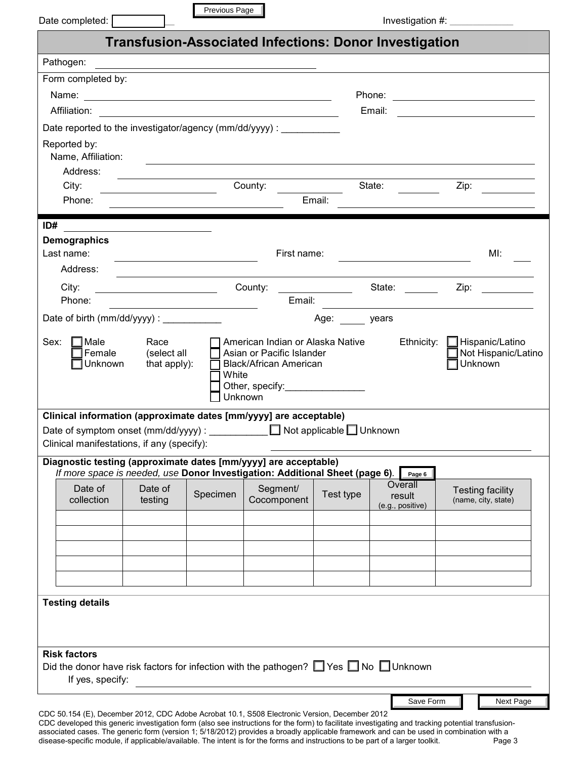|                                                                                                                             |                                                      | Previous Page                                                                                                        |                         |                                             |                          |                                                 |                                                                                                                                                                                                                                |  |
|-----------------------------------------------------------------------------------------------------------------------------|------------------------------------------------------|----------------------------------------------------------------------------------------------------------------------|-------------------------|---------------------------------------------|--------------------------|-------------------------------------------------|--------------------------------------------------------------------------------------------------------------------------------------------------------------------------------------------------------------------------------|--|
|                                                                                                                             |                                                      | <b>Transfusion-Associated Infections: Donor Investigation</b>                                                        |                         |                                             |                          |                                                 |                                                                                                                                                                                                                                |  |
| Pathogen:                                                                                                                   |                                                      |                                                                                                                      |                         |                                             |                          |                                                 |                                                                                                                                                                                                                                |  |
| Form completed by:                                                                                                          |                                                      |                                                                                                                      |                         |                                             |                          |                                                 |                                                                                                                                                                                                                                |  |
|                                                                                                                             |                                                      |                                                                                                                      |                         |                                             |                          |                                                 | Phone: <u>___________________</u>                                                                                                                                                                                              |  |
| Affiliation:                                                                                                                |                                                      |                                                                                                                      |                         |                                             | Email:                   |                                                 |                                                                                                                                                                                                                                |  |
| Date reported to the investigator/agency (mm/dd/yyyy) :                                                                     |                                                      |                                                                                                                      |                         |                                             |                          |                                                 |                                                                                                                                                                                                                                |  |
| Reported by:                                                                                                                |                                                      |                                                                                                                      |                         |                                             |                          |                                                 |                                                                                                                                                                                                                                |  |
| Name, Affiliation:<br>Address:                                                                                              |                                                      | <u> 1989 - Johann John Stone, markin sanat masjid asl nashrida ma'lumot olib ma'lumot boʻlgan ma'lumot boʻlgan m</u> |                         |                                             |                          |                                                 |                                                                                                                                                                                                                                |  |
| City:                                                                                                                       |                                                      | the control of the control of the control of the control of the control of                                           | County:                 |                                             | State:                   |                                                 | Zip:                                                                                                                                                                                                                           |  |
| Phone:                                                                                                                      | <u> 1989 - Johann Stoff, Amerikaansk politiker (</u> |                                                                                                                      |                         | <u>and the state of the state</u><br>Email: |                          |                                                 |                                                                                                                                                                                                                                |  |
|                                                                                                                             |                                                      |                                                                                                                      |                         |                                             |                          |                                                 |                                                                                                                                                                                                                                |  |
| ID#                                                                                                                         |                                                      |                                                                                                                      |                         |                                             |                          |                                                 |                                                                                                                                                                                                                                |  |
| Demographics<br>Last name:                                                                                                  |                                                      |                                                                                                                      |                         | First name:                                 |                          |                                                 | MI:                                                                                                                                                                                                                            |  |
| Address:                                                                                                                    |                                                      |                                                                                                                      |                         |                                             |                          |                                                 |                                                                                                                                                                                                                                |  |
| City:                                                                                                                       |                                                      | County: County: State: County: County: State:                                                                        |                         |                                             |                          |                                                 | Zip: the contract of the contract of the contract of the contract of the contract of the contract of the contract of the contract of the contract of the contract of the contract of the contract of the contract of the contr |  |
| Phone:                                                                                                                      |                                                      |                                                                                                                      |                         | Email:                                      |                          |                                                 |                                                                                                                                                                                                                                |  |
| Date of birth (mm/dd/yyyy) : ____________                                                                                   |                                                      |                                                                                                                      |                         |                                             | Age: years               |                                                 |                                                                                                                                                                                                                                |  |
| Unknown                                                                                                                     | that apply):                                         | White<br>Unknown                                                                                                     | Black/African American  | Other, specify:__________________           |                          |                                                 | Unknown                                                                                                                                                                                                                        |  |
| Clinical information (approximate dates [mm/yyyy] are acceptable)                                                           |                                                      |                                                                                                                      |                         |                                             |                          |                                                 |                                                                                                                                                                                                                                |  |
| Clinical manifestations, if any (specify):                                                                                  |                                                      |                                                                                                                      |                         |                                             |                          |                                                 |                                                                                                                                                                                                                                |  |
| Diagnostic testing (approximate dates [mm/yyyy] are acceptable)                                                             |                                                      |                                                                                                                      |                         |                                             |                          |                                                 |                                                                                                                                                                                                                                |  |
| If more space is needed, use Donor Investigation: Additional Sheet (page 6).<br>Date of<br>collection                       | Date of<br>testing                                   | Specimen                                                                                                             | Segment/<br>Cocomponent | Test type                                   |                          | Page 6<br>Overall<br>result<br>(e.g., positive) | <b>Testing facility</b><br>(name, city, state)                                                                                                                                                                                 |  |
|                                                                                                                             |                                                      |                                                                                                                      |                         |                                             |                          |                                                 |                                                                                                                                                                                                                                |  |
|                                                                                                                             |                                                      |                                                                                                                      |                         |                                             |                          |                                                 |                                                                                                                                                                                                                                |  |
|                                                                                                                             |                                                      |                                                                                                                      |                         |                                             |                          |                                                 |                                                                                                                                                                                                                                |  |
|                                                                                                                             |                                                      |                                                                                                                      |                         | $\overline{\phantom{0}}$                    | $\overline{\phantom{a}}$ |                                                 |                                                                                                                                                                                                                                |  |
|                                                                                                                             |                                                      |                                                                                                                      |                         |                                             |                          |                                                 |                                                                                                                                                                                                                                |  |
| <b>Testing details</b>                                                                                                      |                                                      |                                                                                                                      |                         |                                             |                          |                                                 |                                                                                                                                                                                                                                |  |
|                                                                                                                             |                                                      |                                                                                                                      |                         |                                             |                          |                                                 |                                                                                                                                                                                                                                |  |
|                                                                                                                             |                                                      |                                                                                                                      |                         |                                             |                          |                                                 |                                                                                                                                                                                                                                |  |
| <b>Risk factors</b><br>Did the donor have risk factors for infection with the pathogen? $\Box$ Yes $\Box$ No $\Box$ Unknown |                                                      |                                                                                                                      |                         |                                             |                          |                                                 |                                                                                                                                                                                                                                |  |
| If yes, specify:                                                                                                            |                                                      |                                                                                                                      |                         |                                             |                          |                                                 |                                                                                                                                                                                                                                |  |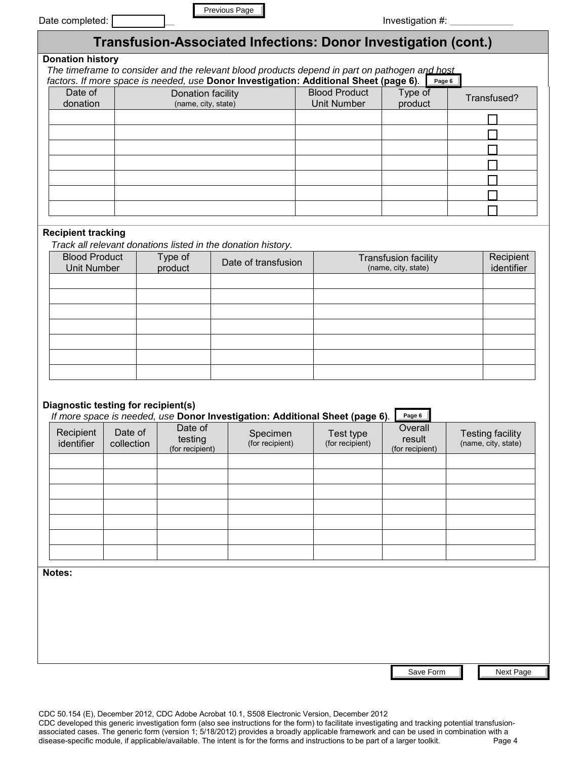| Date completed: |  |
|-----------------|--|

|--|

|                         | Transfusion-Associated Infections: Donor Investigation (cont.)                                |                      |         |             |  |  |  |  |  |
|-------------------------|-----------------------------------------------------------------------------------------------|----------------------|---------|-------------|--|--|--|--|--|
| <b>Donation history</b> |                                                                                               |                      |         |             |  |  |  |  |  |
|                         | The timeframe to consider and the relevant blood products depend in part on pathogen and host |                      |         |             |  |  |  |  |  |
|                         | factors. If more space is needed, use Donor Investigation: Additional Sheet (page 6).         |                      | Page 6  |             |  |  |  |  |  |
| Date of                 | Donation facility                                                                             | <b>Blood Product</b> | Type of | Transfused? |  |  |  |  |  |
| donation                | (name, city, state)                                                                           | Unit Number          | product |             |  |  |  |  |  |
|                         |                                                                                               |                      |         |             |  |  |  |  |  |
|                         |                                                                                               |                      |         |             |  |  |  |  |  |
|                         |                                                                                               |                      |         |             |  |  |  |  |  |
|                         |                                                                                               |                      |         |             |  |  |  |  |  |
|                         |                                                                                               |                      |         |             |  |  |  |  |  |
|                         |                                                                                               |                      |         |             |  |  |  |  |  |
|                         |                                                                                               |                      |         |             |  |  |  |  |  |

# **Recipient tracking**

| <b>Blood Product</b><br><b>Unit Number</b> | Type of<br>product | Date of transfusion | <b>Transfusion facility</b><br>(name, city, state) | Recipient<br>identifier |
|--------------------------------------------|--------------------|---------------------|----------------------------------------------------|-------------------------|
|                                            |                    |                     |                                                    |                         |
|                                            |                    |                     |                                                    |                         |
|                                            |                    |                     |                                                    |                         |
|                                            |                    |                     |                                                    |                         |
|                                            |                    |                     |                                                    |                         |
|                                            |                    |                     |                                                    |                         |
|                                            |                    |                     |                                                    |                         |

## **Diagnostic testing for recipient(s)**

| Date completed: ]                   |            |                    |                                          | Previous Page                                                                                                                                                                          |                                                      |                                            |                          | Investigation #:                                   |                                                |
|-------------------------------------|------------|--------------------|------------------------------------------|----------------------------------------------------------------------------------------------------------------------------------------------------------------------------------------|------------------------------------------------------|--------------------------------------------|--------------------------|----------------------------------------------------|------------------------------------------------|
|                                     |            |                    |                                          | Transfusion-Associated Infections: Donor Investigation (cont.)                                                                                                                         |                                                      |                                            |                          |                                                    |                                                |
| <b>Donation history</b>             |            |                    |                                          | The timeframe to consider and the relevant blood products depend in part on pathogen and host<br>factors. If more space is needed, use Donor Investigation: Additional Sheet (page 6). |                                                      |                                            |                          | Page 6                                             |                                                |
| Date of<br>donation                 |            |                    | Donation facility<br>(name, city, state) |                                                                                                                                                                                        |                                                      | <b>Blood Product</b><br><b>Unit Number</b> |                          | Type of<br>product                                 | Transfused?                                    |
|                                     |            |                    |                                          |                                                                                                                                                                                        |                                                      |                                            |                          |                                                    |                                                |
|                                     |            |                    |                                          |                                                                                                                                                                                        |                                                      |                                            |                          |                                                    |                                                |
|                                     |            |                    |                                          |                                                                                                                                                                                        |                                                      |                                            |                          |                                                    |                                                |
|                                     |            |                    |                                          |                                                                                                                                                                                        |                                                      |                                            |                          |                                                    |                                                |
|                                     |            |                    |                                          |                                                                                                                                                                                        |                                                      |                                            |                          |                                                    |                                                |
|                                     |            |                    |                                          |                                                                                                                                                                                        |                                                      |                                            |                          |                                                    |                                                |
| <b>Recipient tracking</b>           |            |                    |                                          |                                                                                                                                                                                        |                                                      |                                            |                          |                                                    |                                                |
| <b>Blood Product</b>                |            |                    |                                          | Track all relevant donations listed in the donation history.                                                                                                                           |                                                      |                                            |                          |                                                    |                                                |
| <b>Unit Number</b>                  |            | Type of<br>product |                                          | Date of transfusion                                                                                                                                                                    |                                                      |                                            |                          | <b>Transfusion facility</b><br>(name, city, state) | Recipient<br>identifier                        |
|                                     |            |                    |                                          |                                                                                                                                                                                        |                                                      |                                            |                          |                                                    |                                                |
|                                     |            |                    |                                          |                                                                                                                                                                                        |                                                      |                                            |                          |                                                    |                                                |
|                                     |            |                    |                                          |                                                                                                                                                                                        |                                                      |                                            |                          |                                                    |                                                |
|                                     |            |                    |                                          |                                                                                                                                                                                        |                                                      |                                            |                          |                                                    |                                                |
|                                     |            |                    |                                          |                                                                                                                                                                                        |                                                      |                                            |                          |                                                    |                                                |
|                                     |            |                    |                                          |                                                                                                                                                                                        |                                                      |                                            |                          |                                                    |                                                |
| Diagnostic testing for recipient(s) |            |                    |                                          |                                                                                                                                                                                        |                                                      |                                            |                          |                                                    |                                                |
| Recipient                           | Date of    |                    | Date of                                  | If more space is needed, use Donor Investigation: Additional Sheet (page 6).                                                                                                           |                                                      |                                            |                          | Page 6<br>Overall                                  |                                                |
| identifier                          | collection |                    | testing<br>(for recipient)               | Specimen<br>(for recipient)                                                                                                                                                            |                                                      | Test type<br>(for recipient)               |                          | result<br>(for recipient)                          | <b>Testing facility</b><br>(name, city, state) |
|                                     |            |                    |                                          |                                                                                                                                                                                        | $\blacktriangledown$                                 |                                            | ▼                        | $\overline{\phantom{0}}$                           |                                                |
|                                     |            |                    |                                          |                                                                                                                                                                                        | ▼                                                    |                                            | ▼                        |                                                    |                                                |
|                                     |            |                    |                                          |                                                                                                                                                                                        | $\overline{\phantom{a}}$<br>$\overline{\phantom{0}}$ |                                            | ▼                        | $\overline{\phantom{a}}$                           |                                                |
|                                     |            |                    |                                          |                                                                                                                                                                                        | $\overline{\phantom{0}}$                             |                                            | ▼<br>▼                   | $\overline{\phantom{0}}$                           |                                                |
|                                     |            |                    |                                          |                                                                                                                                                                                        | $\blacktriangledown$                                 |                                            | $\overline{\phantom{0}}$ | $\blacktriangledown$                               |                                                |
|                                     |            |                    |                                          |                                                                                                                                                                                        | $\overline{\phantom{0}}$                             |                                            | $\blacktriangledown$     | $\blacktriangledown$                               |                                                |
| Notes:                              |            |                    |                                          |                                                                                                                                                                                        |                                                      |                                            |                          |                                                    |                                                |
|                                     |            |                    |                                          |                                                                                                                                                                                        |                                                      |                                            |                          |                                                    |                                                |
|                                     |            |                    |                                          |                                                                                                                                                                                        |                                                      |                                            |                          |                                                    |                                                |
|                                     |            |                    |                                          |                                                                                                                                                                                        |                                                      |                                            |                          |                                                    |                                                |
|                                     |            |                    |                                          |                                                                                                                                                                                        |                                                      |                                            |                          |                                                    |                                                |
|                                     |            |                    |                                          |                                                                                                                                                                                        |                                                      |                                            |                          | Save Form                                          | Next Page                                      |

Save Form

CDC 50.154 (E), December 2012, CDC Adobe Acrobat 10.1, S508 Electronic Version, December 2012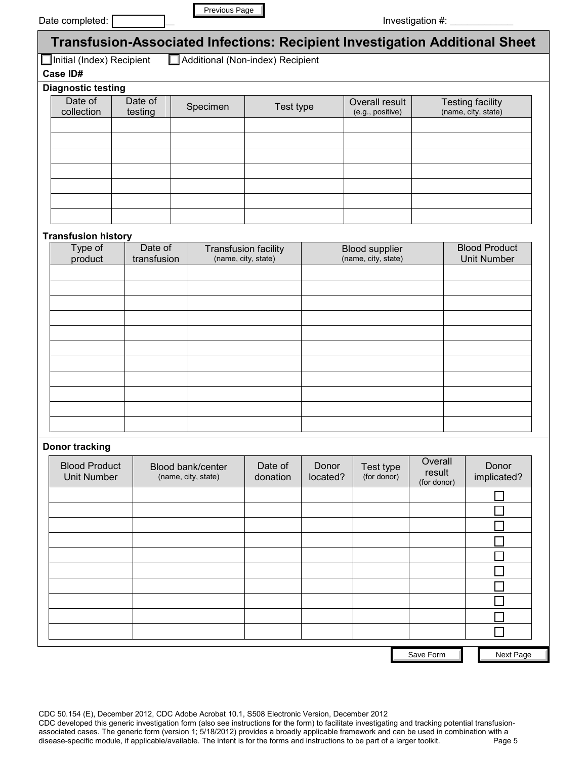|  | Date completed: [ |  |
|--|-------------------|--|
|  |                   |  |

| Previous Page |  |
|---------------|--|
|               |  |

| <b>Transfusion-Associated Infections: Recipient Investigation Additional Sheet</b> |                    |          |           |                                    |                                                |  |  |  |  |
|------------------------------------------------------------------------------------|--------------------|----------|-----------|------------------------------------|------------------------------------------------|--|--|--|--|
| Additional (Non-index) Recipient<br>$\Box$ Initial (Index) Recipient               |                    |          |           |                                    |                                                |  |  |  |  |
| Case ID#                                                                           |                    |          |           |                                    |                                                |  |  |  |  |
| <b>Diagnostic testing</b>                                                          |                    |          |           |                                    |                                                |  |  |  |  |
| Date of<br>collection                                                              | Date of<br>testing | Specimen | Test type | Overall result<br>(e.g., positive) | <b>Testing facility</b><br>(name, city, state) |  |  |  |  |
|                                                                                    |                    |          |           |                                    |                                                |  |  |  |  |
|                                                                                    |                    |          |           |                                    |                                                |  |  |  |  |
|                                                                                    |                    |          |           |                                    |                                                |  |  |  |  |
|                                                                                    |                    |          |           |                                    |                                                |  |  |  |  |
|                                                                                    |                    |          |           |                                    |                                                |  |  |  |  |
|                                                                                    |                    |          |           | $\blacktriangledown$               |                                                |  |  |  |  |
|                                                                                    |                    |          |           |                                    |                                                |  |  |  |  |

### **Transfusion history**

| <br>Type of<br>product | Date of<br>transfusion | Transfusion facility<br>(name, city, state) | Blood supplier<br>(name, city, state) | <b>Blood Product</b><br><b>Unit Number</b> |
|------------------------|------------------------|---------------------------------------------|---------------------------------------|--------------------------------------------|
|                        |                        |                                             |                                       |                                            |
|                        |                        |                                             |                                       |                                            |
|                        |                        |                                             |                                       |                                            |
|                        |                        |                                             |                                       |                                            |
|                        |                        |                                             |                                       |                                            |
|                        |                        |                                             |                                       |                                            |
|                        |                        |                                             |                                       |                                            |
|                        |                        |                                             |                                       |                                            |
|                        |                        |                                             |                                       |                                            |
|                        |                        |                                             |                                       |                                            |
|                        |                        |                                             |                                       |                                            |

### **Donor tracking**

| Date completed: [                     |                        | Previous Page                            |                                                    |                          |                                              |                                                      | Investigation #:      |                                                  |                                                                             |  |
|---------------------------------------|------------------------|------------------------------------------|----------------------------------------------------|--------------------------|----------------------------------------------|------------------------------------------------------|-----------------------|--------------------------------------------------|-----------------------------------------------------------------------------|--|
|                                       |                        |                                          |                                                    |                          |                                              |                                                      |                       |                                                  | Transfusion-Associated Infections: Recipient Investigation Additional Sheet |  |
| Initial (Index) Recipient<br>Case ID# |                        |                                          | Additional (Non-index) Recipient                   |                          |                                              |                                                      |                       |                                                  |                                                                             |  |
| <b>Diagnostic testing</b>             |                        |                                          |                                                    |                          |                                              |                                                      |                       |                                                  |                                                                             |  |
| Date of<br>collection                 | Date of<br>testing     | Specimen                                 | Test type                                          |                          | Overall result<br>(e.g., positive)           |                                                      |                       |                                                  | <b>Testing facility</b><br>(name, city, state)                              |  |
|                                       |                        | ▼                                        |                                                    |                          |                                              |                                                      |                       |                                                  |                                                                             |  |
|                                       |                        |                                          |                                                    |                          |                                              |                                                      |                       |                                                  |                                                                             |  |
|                                       |                        |                                          |                                                    |                          |                                              | ▼                                                    |                       |                                                  |                                                                             |  |
|                                       |                        |                                          |                                                    |                          |                                              | ▼                                                    |                       |                                                  |                                                                             |  |
|                                       |                        |                                          |                                                    |                          |                                              |                                                      |                       |                                                  |                                                                             |  |
| <b>Transfusion history</b>            |                        | $\overline{\phantom{0}}$                 |                                                    | $\overline{\phantom{0}}$ |                                              | $\overline{\phantom{0}}$                             |                       |                                                  |                                                                             |  |
| Type of<br>product                    | Date of<br>transfusion |                                          | <b>Transfusion facility</b><br>(name, city, state) |                          | <b>Blood supplier</b><br>(name, city, state) |                                                      |                       |                                                  | <b>Blood Product</b><br><b>Unit Number</b>                                  |  |
|                                       |                        |                                          |                                                    |                          |                                              |                                                      |                       |                                                  |                                                                             |  |
|                                       |                        |                                          |                                                    |                          |                                              |                                                      |                       |                                                  |                                                                             |  |
|                                       |                        |                                          |                                                    |                          |                                              |                                                      |                       |                                                  |                                                                             |  |
|                                       |                        |                                          |                                                    |                          |                                              |                                                      |                       |                                                  |                                                                             |  |
|                                       |                        |                                          |                                                    |                          |                                              |                                                      |                       |                                                  |                                                                             |  |
|                                       |                        |                                          |                                                    |                          |                                              |                                                      |                       |                                                  |                                                                             |  |
|                                       |                        |                                          |                                                    |                          |                                              |                                                      |                       |                                                  |                                                                             |  |
|                                       |                        |                                          |                                                    |                          |                                              |                                                      |                       |                                                  |                                                                             |  |
|                                       |                        |                                          |                                                    |                          |                                              |                                                      |                       |                                                  |                                                                             |  |
| <b>Donor tracking</b>                 |                        |                                          |                                                    |                          |                                              |                                                      | Overall               |                                                  |                                                                             |  |
| <b>Blood Product</b><br>Unit Number   |                        | Blood bank/center<br>(name, city, state) | Date of<br>donation                                | Donor<br>located?        | Test type<br>(for donor)                     |                                                      | result<br>(for donor) |                                                  | Donor<br>implicated?                                                        |  |
|                                       |                        |                                          |                                                    |                          |                                              | $\blacktriangledown$                                 |                       | $\blacktriangledown$                             |                                                                             |  |
|                                       |                        |                                          |                                                    |                          |                                              | $\overline{\phantom{a}}$<br>$\overline{\phantom{a}}$ |                       | ▼                                                |                                                                             |  |
|                                       |                        |                                          |                                                    |                          |                                              | $\overline{\phantom{0}}$                             |                       | ▼<br>$\blacktriangledown$                        |                                                                             |  |
|                                       |                        |                                          |                                                    |                          |                                              | $\overline{\phantom{0}}$                             |                       | $\overline{\phantom{a}}$                         |                                                                             |  |
|                                       |                        |                                          |                                                    |                          |                                              | $\overline{\phantom{0}}$                             |                       | $\overline{\phantom{a}}$                         |                                                                             |  |
|                                       |                        |                                          |                                                    |                          |                                              | $\overline{\phantom{0}}$<br>$\overline{\phantom{0}}$ |                       | $\blacktriangledown$<br>$\overline{\phantom{a}}$ |                                                                             |  |
|                                       |                        |                                          |                                                    |                          |                                              | $\overline{\phantom{0}}$                             |                       | $\blacktriangledown$                             |                                                                             |  |
|                                       |                        |                                          |                                                    |                          |                                              | $\overline{\phantom{a}}$                             |                       | $\overline{\phantom{0}}$                         |                                                                             |  |
|                                       |                        |                                          |                                                    |                          |                                              |                                                      | Save Form             |                                                  | Next Page                                                                   |  |

CDC 50.154 (E), December 2012, CDC Adobe Acrobat 10.1, S508 Electronic Version, December 2012